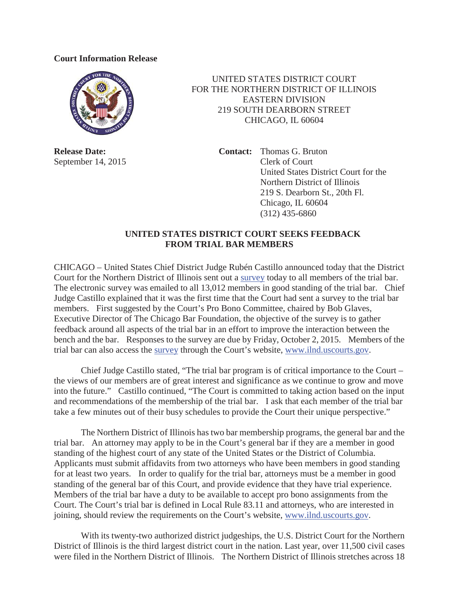## **Court Information Release**



**Release Date:** September 14, 2015

UNITED STATES DISTRICT COURT FOR THE NORTHERN DISTRICT OF ILLINOIS EASTERN DIVISION 219 SOUTH DEARBORN STREET CHICAGO, IL 60604

> **Contact:** Thomas G. Bruton Clerk of Court United States District Court for the Northern District of Illinois 219 S. Dearborn St., 20th Fl. Chicago, IL 60604 (312) 435-6860

## **UNITED STATES DISTRICT COURT SEEKS FEEDBACK FROM TRIAL BAR MEMBERS**

CHICAGO – United States Chief District Judge Rubén Castillo announced today that the District Court for the Northern District of Illinois sent out a survey today to all members of the trial bar. The electronic survey was emailed to all 13,012 members in good standing of the trial bar. Chief Judge Castillo explained that it was the first time that the Court had sent a survey to the trial bar members. First suggested by the Court's Pro Bono Committee, chaired by Bob Glaves, Executive Director of The Chicago Bar Foundation, the objective of the survey is to gather feedback around all aspects of the trial bar in an effort to improve the interaction between the bench and the bar. Responses to the survey are due by Friday, October 2, 2015. Members of the trial bar can also access the survey through the Court's website, www.ilnd.uscourts.gov.

Chief Judge Castillo stated, "The trial bar program is of critical importance to the Court – the views of our members are of great interest and significance as we continue to grow and move into the future." Castillo continued, "The Court is committed to taking action based on the input and recommendations of the membership of the trial bar. I ask that each member of the trial bar take a few minutes out of their busy schedules to provide the Court their unique perspective."

The Northern District of Illinois has two bar membership programs, the general bar and the trial bar. An attorney may apply to be in the Court's general bar if they are a member in good standing of the highest court of any state of the United States or the District of Columbia. Applicants must submit affidavits from two attorneys who have been members in good standing for at least two years. In order to qualify for the trial bar, attorneys must be a member in good standing of the general bar of this Court, and provide evidence that they have trial experience. Members of the trial bar have a duty to be available to accept pro bono assignments from the Court. The Court's trial bar is defined in Local Rule 83.11 and attorneys, who are interested in joining, should review the requirements on the Court's website, www.ilnd.uscourts.gov.

With its twenty-two authorized district judgeships, the U.S. District Court for the Northern District of Illinois is the third largest district court in the nation. Last year, over 11,500 civil cases were filed in the Northern District of Illinois. The Northern District of Illinois stretches across 18